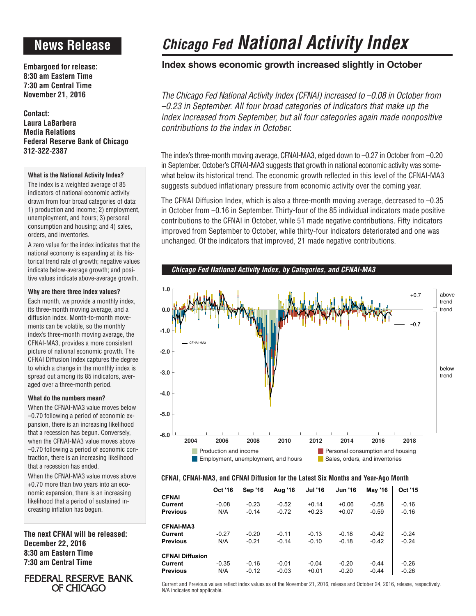# **News Release**

**Embargoed for release: 8:30 am Eastern Time 7:30 am Central Time November 21, 2016**

**Contact: Laura LaBarbera Media Relations Federal Reserve Bank of Chicago 312-322-2387**

### **What is the National Activity Index?**

The index is a weighted average of 85 indicators of national economic activity drawn from four broad categories of data: 1) production and income; 2) employment, unemployment, and hours; 3) personal consumption and housing; and 4) sales, orders, and inventories.

A zero value for the index indicates that the national economy is expanding at its historical trend rate of growth; negative values indicate below-average growth; and positive values indicate above-average growth.

### **Why are there three index values?**

Each month, we provide a monthly index, its three-month moving average, and a diffusion index. Month-to-month movements can be volatile, so the monthly index's three-month moving average, the CFNAI-MA3, provides a more consistent picture of national economic growth. The CFNAI Diffusion Index captures the degree to which a change in the monthly index is spread out among its 85 indicators, averaged over a three-month period.

## **What do the numbers mean?**

When the CFNAI-MA3 value moves below –0.70 following a period of economic expansion, there is an increasing likelihood that a recession has begun. Conversely, when the CFNAI-MA3 value moves above –0.70 following a period of economic contraction, there is an increasing likelihood that a recession has ended.

When the CFNAI-MA3 value moves above +0.70 more than two years into an economic expansion, there is an increasing likelihood that a period of sustained increasing inflation has begun.

**The next CFNAI will be released: December 22, 2016 8:30 am Eastern Time 7:30 am Central Time**

# **FEDERAL RESERVE BANK** OF CHICAGO

# *Chicago Fed National Activity Index*

# **Index shows economic growth increased slightly in October**

*The Chicago Fed National Activity Index (CFNAI) increased to –0.08 in October from –0.23 in September. All four broad categories of indicators that make up the index increased from September, but all four categories again made nonpositive contributions to the index in October.*

The index's three-month moving average, CFNAI-MA3, edged down to –0.27 in October from –0.20 in September. October's CFNAI-MA3 suggests that growth in national economic activity was somewhat below its historical trend. The economic growth reflected in this level of the CFNAI-MA3 suggests subdued inflationary pressure from economic activity over the coming year.

The CFNAI Diffusion Index, which is also a three-month moving average, decreased to –0.35 in October from –0.16 in September. Thirty-four of the 85 individual indicators made positive contributions to the CFNAI in October, while 51 made negative contributions. Fifty indicators improved from September to October, while thirty-four indicators deteriorated and one was unchanged. Of the indicators that improved, 21 made negative contributions.



### **CFNAI, CFNAI-MA3, and CFNAI Diffusion for the Latest Six Months and Year-Ago Month**

|                        | <b>Oct '16</b> | <b>Sep '16</b> | Aug '16 | Jul '16 | <b>Jun '16</b> | <b>May '16</b> | Oct '15 |
|------------------------|----------------|----------------|---------|---------|----------------|----------------|---------|
| <b>CFNAI</b>           |                |                |         |         |                |                |         |
| Current                | $-0.08$        | $-0.23$        | $-0.52$ | $+0.14$ | $+0.06$        | $-0.58$        | $-0.16$ |
| <b>Previous</b>        | N/A            | $-0.14$        | $-0.72$ | $+0.23$ | $+0.07$        | $-0.59$        | $-0.16$ |
| <b>CFNAI-MA3</b>       |                |                |         |         |                |                |         |
| Current                | $-0.27$        | $-0.20$        | $-0.11$ | $-0.13$ | $-0.18$        | $-0.42$        | $-0.24$ |
| <b>Previous</b>        | N/A            | $-0.21$        | $-0.14$ | $-0.10$ | $-0.18$        | $-0.42$        | $-0.24$ |
| <b>CFNAI Diffusion</b> |                |                |         |         |                |                |         |
| Current                | $-0.35$        | $-0.16$        | $-0.01$ | $-0.04$ | $-0.20$        | $-0.44$        | $-0.26$ |
| <b>Previous</b>        | N/A            | $-0.12$        | $-0.03$ | $+0.01$ | $-0.20$        | $-0.44$        | $-0.26$ |

Current and Previous values reflect index values as of the November 21, 2016, release and October 24, 2016, release, respectively. N/A indicates not applicable.